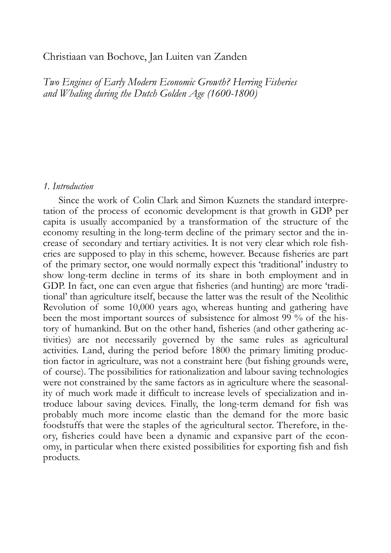# Christiaan van Bochove, Jan Luiten van Zanden

*Two Engines of Early Modern Economic Growth? Herring Fisheries and Whaling during the Dutch Golden Age (1600-1800)* 

#### *1. Introduction*

Since the work of Colin Clark and Simon Kuznets the standard interpretation of the process of economic development is that growth in GDP per capita is usually accompanied by a transformation of the structure of the economy resulting in the long-term decline of the primary sector and the increase of secondary and tertiary activities. It is not very clear which role fisheries are supposed to play in this scheme, however. Because fisheries are part of the primary sector, one would normally expect this 'traditional' industry to show long-term decline in terms of its share in both employment and in GDP. In fact, one can even argue that fisheries (and hunting) are more 'traditional' than agriculture itself, because the latter was the result of the Neolithic Revolution of some 10,000 years ago, whereas hunting and gathering have been the most important sources of subsistence for almost 99 % of the history of humankind. But on the other hand, fisheries (and other gathering activities) are not necessarily governed by the same rules as agricultural activities. Land, during the period before 1800 the primary limiting production factor in agriculture, was not a constraint here (but fishing grounds were, of course). The possibilities for rationalization and labour saving technologies were not constrained by the same factors as in agriculture where the seasonality of much work made it difficult to increase levels of specialization and introduce labour saving devices. Finally, the long-term demand for fish was probably much more income elastic than the demand for the more basic foodstuffs that were the staples of the agricultural sector. Therefore, in theory, fisheries could have been a dynamic and expansive part of the economy, in particular when there existed possibilities for exporting fish and fish products.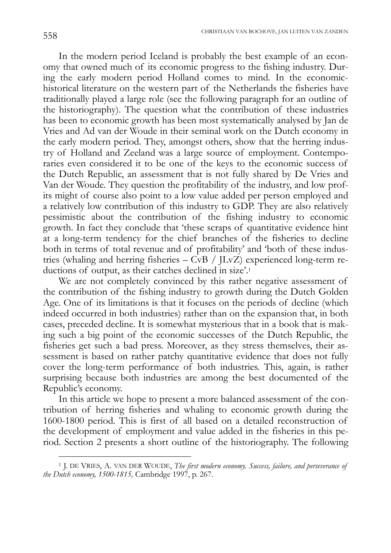In the modern period Iceland is probably the best example of an economy that owned much of its economic progress to the fishing industry. During the early modern period Holland comes to mind. In the economichistorical literature on the western part of the Netherlands the fisheries have traditionally played a large role (see the following paragraph for an outline of the historiography). The question what the contribution of these industries has been to economic growth has been most systematically analysed by Jan de Vries and Ad van der Woude in their seminal work on the Dutch economy in the early modern period. They, amongst others, show that the herring industry of Holland and Zeeland was a large source of employment. Contemporaries even considered it to be one of the keys to the economic success of the Dutch Republic, an assessment that is not fully shared by De Vries and Van der Woude. They question the profitability of the industry, and low profits might of course also point to a low value added per person employed and a relatively low contribution of this industry to GDP. They are also relatively pessimistic about the contribution of the fishing industry to economic growth. In fact they conclude that 'these scraps of quantitative evidence hint at a long-term tendency for the chief branches of the fisheries to decline both in terms of total revenue and of profitability' and 'both of these industries (whaling and herring fisheries  $-\overrightarrow{\textrm{Cv}}B / J \overrightarrow{\textrm{Lv}}Z$ ) experienced long-term reductions of output, as their catches declined in size'.1

We are not completely convinced by this rather negative assessment of the contribution of the fishing industry to growth during the Dutch Golden Age. One of its limitations is that it focuses on the periods of decline (which indeed occurred in both industries) rather than on the expansion that, in both cases, preceded decline. It is somewhat mysterious that in a book that is making such a big point of the economic successes of the Dutch Republic, the fisheries get such a bad press. Moreover, as they stress themselves, their assessment is based on rather patchy quantitative evidence that does not fully cover the long-term performance of both industries. This, again, is rather surprising because both industries are among the best documented of the Republic's economy.

In this article we hope to present a more balanced assessment of the contribution of herring fisheries and whaling to economic growth during the 1600-1800 period. This is first of all based on a detailed reconstruction of the development of employment and value added in the fisheries in this period. Section 2 presents a short outline of the historiography. The following

<sup>1</sup> J. DE VRIES, A. VAN DER WOUDE, *The first modern economy. Success, failure, and perseverance of the Dutch economy, 1500-1815,* Cambridge 1997, p. 267.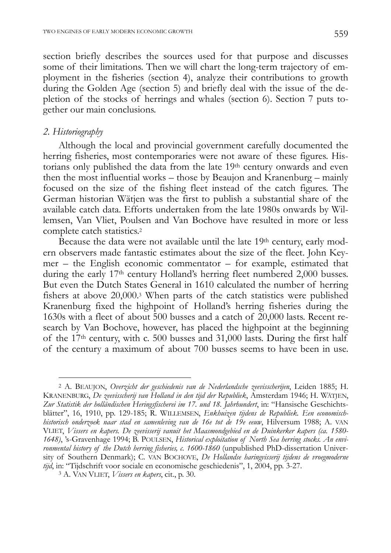section briefly describes the sources used for that purpose and discusses some of their limitations. Then we will chart the long-term trajectory of employment in the fisheries (section 4), analyze their contributions to growth during the Golden Age (section 5) and briefly deal with the issue of the depletion of the stocks of herrings and whales (section 6). Section 7 puts together our main conclusions.

### *2. Historiography*

 $\overline{a}$ 

Although the local and provincial government carefully documented the herring fisheries, most contemporaries were not aware of these figures. Historians only published the data from the late 19<sup>th</sup> century onwards and even then the most influential works – those by Beaujon and Kranenburg – mainly focused on the size of the fishing fleet instead of the catch figures. The German historian Wätjen was the first to publish a substantial share of the available catch data. Efforts undertaken from the late 1980s onwards by Willemsen, Van Vliet, Poulsen and Van Bochove have resulted in more or less complete catch statistics.2

Because the data were not available until the late 19th century, early modern observers made fantastic estimates about the size of the fleet. John Keymer – the English economic commentator – for example, estimated that during the early 17<sup>th</sup> century Holland's herring fleet numbered 2,000 busses. But even the Dutch States General in 1610 calculated the number of herring fishers at above 20,000.3 When parts of the catch statistics were published Kranenburg fixed the highpoint of Holland's herring fisheries during the 1630s with a fleet of about 500 busses and a catch of 20,000 lasts. Recent research by Van Bochove, however, has placed the highpoint at the beginning of the 17th century, with c. 500 busses and 31,000 lasts. During the first half of the century a maximum of about 700 busses seems to have been in use.

<sup>2</sup> A. BEAUJON, *Overzicht der geschiedenis van de Nederlandsche zeevisscherijen*, Leiden 1885; H. KRANENBURG, *De zeevisscherij van Holland in den tijd der Republiek*, Amsterdam 1946; H. WÄTJEN, Zur Statistik der holländischen Heringsfischerei im 17. und 18. Jahrhundert, in: "Hansische Geschichtsblätter", 16, 1910, pp. 129-185; R. WILLEMSEN, Enkhuizen tijdens de Republiek. Een economisch*historisch onderzoek naar stad en samenleving van de 16e tot de 19e eeuw*, Hilversum 1988; A. VAN VLIET, *Vissers en kapers. De zeevisserij vanuit het Maasmondgebied en de Duinkerker kapers (ca. 1580- 1648)*, 's-Gravenhage 1994; B. POULSEN, *Historical exploitation of North Sea herring stocks. An environmental history of the Dutch herring fisheries, c. 1600-1860* (unpublished PhD-dissertation University of Southern Denmark); C. VAN BOCHOVE, *De Hollandse haringvisserij tijdens de vroegmoderne tijd*, in: "Tijdschrift voor sociale en economische geschiedenis", 1, 2004, pp. 3-27.

<sup>3</sup> A. VAN VLIET, *Vissers en kapers*, cit., p. 30.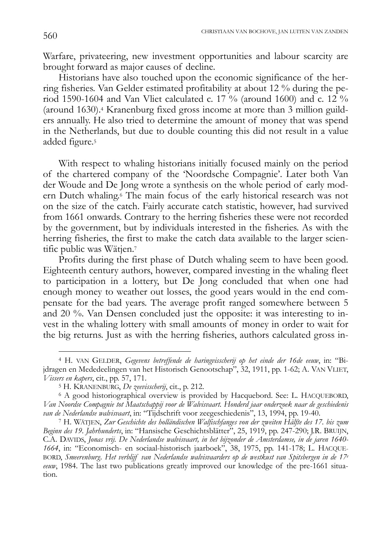Warfare, privateering, new investment opportunities and labour scarcity are brought forward as major causes of decline.

Historians have also touched upon the economic significance of the herring fisheries. Van Gelder estimated profitability at about 12 % during the period 1590-1604 and Van Vliet calculated c. 17  $\%$  (around 1600) and c. 12  $\%$ (around 1630).4 Kranenburg fixed gross income at more than 3 million guilders annually. He also tried to determine the amount of money that was spend in the Netherlands, but due to double counting this did not result in a value added figure.5

With respect to whaling historians initially focused mainly on the period of the chartered company of the 'Noordsche Compagnie'. Later both Van der Woude and De Jong wrote a synthesis on the whole period of early modern Dutch whaling.6 The main focus of the early historical research was not on the size of the catch. Fairly accurate catch statistic, however, had survived from 1661 onwards. Contrary to the herring fisheries these were not recorded by the government, but by individuals interested in the fisheries. As with the herring fisheries, the first to make the catch data available to the larger scientific public was Wätjen.7

Profits during the first phase of Dutch whaling seem to have been good. Eighteenth century authors, however, compared investing in the whaling fleet to participation in a lottery, but De Jong concluded that when one had enough money to weather out losses, the good years would in the end compensate for the bad years. The average profit ranged somewhere between 5 and 20 %. Van Densen concluded just the opposite: it was interesting to invest in the whaling lottery with small amounts of money in order to wait for the big returns. Just as with the herring fisheries, authors calculated gross in-

<sup>4</sup> H. VAN GELDER, *Gegevens betreffende de haringvisscherij op het einde der 16de eeuw*, in: "Bijdragen en Mededeelingen van het Historisch Genootschap", 32, 1911, pp. 1-62; A. VAN VLIET, *Vissers en kapers*, cit., pp. 57, 171.

<sup>5</sup> H. KRANENBURG, *De zeevisscherij*, cit., p. 212.

<sup>6</sup> A good historiographical overview is provided by Hacquebord. See: L. HACQUEBORD, *Van Noordse Compagnie tot Maatschappij voor de Walvisvaart. Honderd jaar onderzoek naar de geschiedenis van de Nederlandse walvisvaart*, in: "Tijdschrift voor zeegeschiedenis", 13, 1994, pp. 19-40.

<sup>7</sup> H. WÄTJEN, *Zur Geschichte des holländischen Walfischfanges von der zweiten Hälfte des 17. bis zum Beginn des 19. Jahrhunderts*, in: "Hansische Geschichtsblätter", 25, 1919, pp. 247-290; J.R. BRUIJN, C.A. DAVIDS, *Jonas vrij. De Nederlandse walvisvaart, in het bijzonder de Amsterdamse, in de jaren 1640- 1664*, in: "Economisch- en sociaal-historisch jaarboek", 38, 1975, pp. 141-178; L. HACQUE-BORD, *Smeerenburg. Het verblijf van Nederlandse walvisvaarders op de westkust van Spitsbergen in de 17e eeuw*, 1984. The last two publications greatly improved our knowledge of the pre-1661 situation.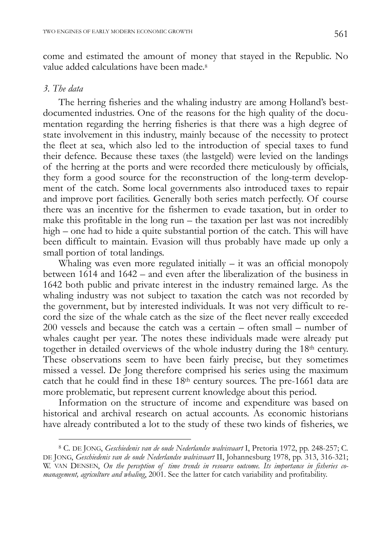come and estimated the amount of money that stayed in the Republic. No value added calculations have been made.<sup>8</sup>

#### *3. The data*

 $\overline{a}$ 

The herring fisheries and the whaling industry are among Holland's bestdocumented industries. One of the reasons for the high quality of the documentation regarding the herring fisheries is that there was a high degree of state involvement in this industry, mainly because of the necessity to protect the fleet at sea, which also led to the introduction of special taxes to fund their defence. Because these taxes (the lastgeld) were levied on the landings of the herring at the ports and were recorded there meticulously by officials, they form a good source for the reconstruction of the long-term development of the catch. Some local governments also introduced taxes to repair and improve port facilities. Generally both series match perfectly. Of course there was an incentive for the fishermen to evade taxation, but in order to make this profitable in the long run – the taxation per last was not incredibly high – one had to hide a quite substantial portion of the catch. This will have been difficult to maintain. Evasion will thus probably have made up only a small portion of total landings.

Whaling was even more regulated initially  $-$  it was an official monopoly between 1614 and 1642 – and even after the liberalization of the business in 1642 both public and private interest in the industry remained large. As the whaling industry was not subject to taxation the catch was not recorded by the government, but by interested individuals. It was not very difficult to record the size of the whale catch as the size of the fleet never really exceeded 200 vessels and because the catch was a certain – often small – number of whales caught per year. The notes these individuals made were already put together in detailed overviews of the whole industry during the 18th century. These observations seem to have been fairly precise, but they sometimes missed a vessel. De Jong therefore comprised his series using the maximum catch that he could find in these 18th century sources. The pre-1661 data are more problematic, but represent current knowledge about this period.

Information on the structure of income and expenditure was based on historical and archival research on actual accounts. As economic historians have already contributed a lot to the study of these two kinds of fisheries, we

<sup>8</sup> C. DE JONG, *Geschiedenis van de oude Nederlandse walvisvaart* I, Pretoria 1972, pp. 248-257; C. DE JONG, *Geschiedenis van de oude Nederlandse walvisvaart* II, Johannesburg 1978, pp. 313, 316-321; W. VAN DENSEN, *On the perception of time trends in resource outcome. Its importance in fisheries comanagement, agriculture and whaling*, 2001. See the latter for catch variability and profitability.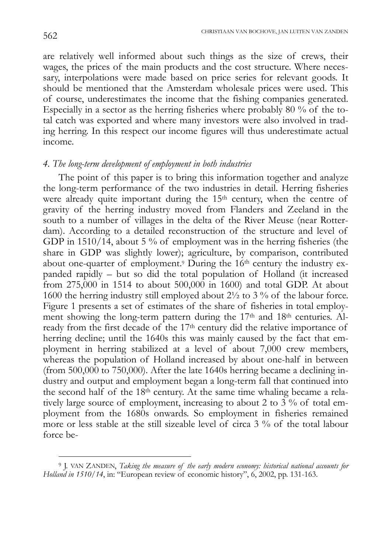are relatively well informed about such things as the size of crews, their wages, the prices of the main products and the cost structure. Where necessary, interpolations were made based on price series for relevant goods. It should be mentioned that the Amsterdam wholesale prices were used. This of course, underestimates the income that the fishing companies generated. Especially in a sector as the herring fisheries where probably 80 % of the total catch was exported and where many investors were also involved in trading herring. In this respect our income figures will thus underestimate actual income.

# *4. The long-term development of employment in both industries*

The point of this paper is to bring this information together and analyze the long-term performance of the two industries in detail. Herring fisheries were already quite important during the 15<sup>th</sup> century, when the centre of gravity of the herring industry moved from Flanders and Zeeland in the south to a number of villages in the delta of the River Meuse (near Rotterdam). According to a detailed reconstruction of the structure and level of GDP in 1510/14, about 5 % of employment was in the herring fisheries (the share in GDP was slightly lower); agriculture, by comparison, contributed about one-quarter of employment.9 During the 16th century the industry expanded rapidly – but so did the total population of Holland (it increased from 275,000 in 1514 to about 500,000 in 1600) and total GDP. At about 1600 the herring industry still employed about  $2\frac{1}{2}$  to 3 % of the labour force. Figure 1 presents a set of estimates of the share of fisheries in total employment showing the long-term pattern during the 17<sup>th</sup> and 18<sup>th</sup> centuries. Already from the first decade of the 17<sup>th</sup> century did the relative importance of herring decline; until the 1640s this was mainly caused by the fact that employment in herring stabilized at a level of about 7,000 crew members, whereas the population of Holland increased by about one-half in between (from 500,000 to 750,000). After the late 1640s herring became a declining industry and output and employment began a long-term fall that continued into the second half of the 18th century. At the same time whaling became a relatively large source of employment, increasing to about 2 to  $3\%$  of total employment from the 1680s onwards. So employment in fisheries remained more or less stable at the still sizeable level of circa 3 % of the total labour force be-

<sup>9</sup> J. VAN ZANDEN, *Taking the measure of the early modern economy: historical national accounts for Holland in 1510/14*, in: "European review of economic history", 6, 2002, pp. 131-163.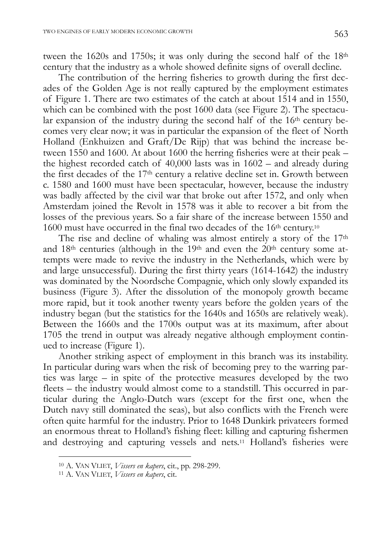tween the 1620s and 1750s; it was only during the second half of the 18th century that the industry as a whole showed definite signs of overall decline.

The contribution of the herring fisheries to growth during the first decades of the Golden Age is not really captured by the employment estimates of Figure 1. There are two estimates of the catch at about 1514 and in 1550, which can be combined with the post 1600 data (see Figure 2). The spectacular expansion of the industry during the second half of the 16<sup>th</sup> century becomes very clear now; it was in particular the expansion of the fleet of North Holland (Enkhuizen and Graft/De Rijp) that was behind the increase between 1550 and 1600. At about 1600 the herring fisheries were at their peak – the highest recorded catch of 40,000 lasts was in 1602 – and already during the first decades of the 17th century a relative decline set in. Growth between c. 1580 and 1600 must have been spectacular, however, because the industry was badly affected by the civil war that broke out after 1572, and only when Amsterdam joined the Revolt in 1578 was it able to recover a bit from the losses of the previous years. So a fair share of the increase between 1550 and 1600 must have occurred in the final two decades of the 16<sup>th</sup> century.<sup>10</sup>

The rise and decline of whaling was almost entirely a story of the 17th and 18<sup>th</sup> centuries (although in the 19<sup>th</sup> and even the 20<sup>th</sup> century some attempts were made to revive the industry in the Netherlands, which were by and large unsuccessful). During the first thirty years (1614-1642) the industry was dominated by the Noordsche Compagnie, which only slowly expanded its business (Figure 3). After the dissolution of the monopoly growth became more rapid, but it took another twenty years before the golden years of the industry began (but the statistics for the 1640s and 1650s are relatively weak). Between the 1660s and the 1700s output was at its maximum, after about 1705 the trend in output was already negative although employment continued to increase (Figure 1).

Another striking aspect of employment in this branch was its instability. In particular during wars when the risk of becoming prey to the warring parties was large – in spite of the protective measures developed by the two fleets – the industry would almost come to a standstill. This occurred in particular during the Anglo-Dutch wars (except for the first one, when the Dutch navy still dominated the seas), but also conflicts with the French were often quite harmful for the industry. Prior to 1648 Dunkirk privateers formed an enormous threat to Holland's fishing fleet: killing and capturing fishermen and destroying and capturing vessels and nets.11 Holland's fisheries were

<sup>10</sup> A. VAN VLIET, *Vissers en kapers*, cit., pp. 298-299.

<sup>11</sup> A. VAN VLIET, *Vissers en kapers*, cit.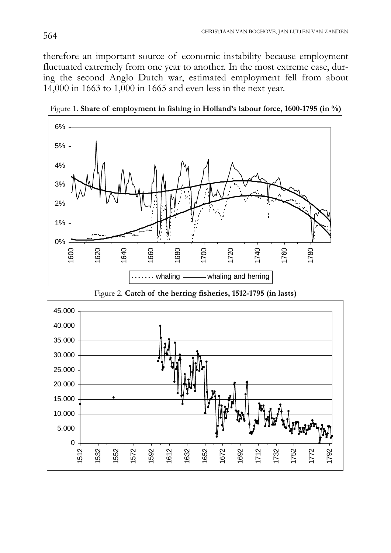therefore an important source of economic instability because employment fluctuated extremely from one year to another. In the most extreme case, during the second Anglo Dutch war, estimated employment fell from about 14,000 in 1663 to 1,000 in 1665 and even less in the next year.



Figure 1. **Share of employment in fishing in Holland's labour force, 1600-1795 (in %)**



Figure 2. **Catch of the herring fisheries, 1512-1795 (in lasts)**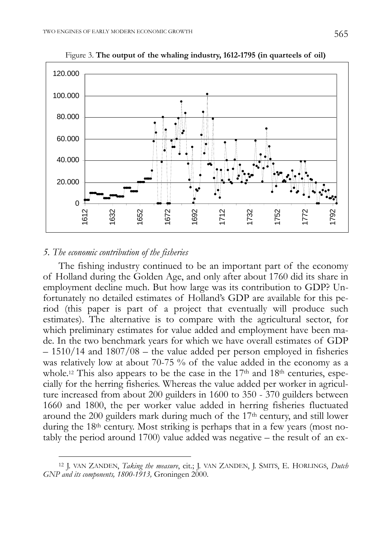

Figure 3. **The output of the whaling industry, 1612-1795 (in quarteels of oil)**

# *5. The economic contribution of the fisheries*

 $\overline{a}$ 

The fishing industry continued to be an important part of the economy of Holland during the Golden Age, and only after about 1760 did its share in employment decline much. But how large was its contribution to GDP? Unfortunately no detailed estimates of Holland's GDP are available for this period (this paper is part of a project that eventually will produce such estimates). The alternative is to compare with the agricultural sector, for which preliminary estimates for value added and employment have been made. In the two benchmark years for which we have overall estimates of GDP – 1510/14 and 1807/08 – the value added per person employed in fisheries was relatively low at about 70-75 % of the value added in the economy as a whole.<sup>12</sup> This also appears to be the case in the 17<sup>th</sup> and 18<sup>th</sup> centuries, especially for the herring fisheries. Whereas the value added per worker in agriculture increased from about 200 guilders in 1600 to 350 - 370 guilders between 1660 and 1800, the per worker value added in herring fisheries fluctuated around the 200 guilders mark during much of the 17th century, and still lower during the 18<sup>th</sup> century. Most striking is perhaps that in a few years (most notably the period around 1700) value added was negative – the result of an ex-

<sup>12</sup> J. VAN ZANDEN, *Taking the measure*, cit.; J. VAN ZANDEN, J. SMITS, E. HORLINGS, *Dutch GNP and its components, 1800-1913,* Groningen 2000.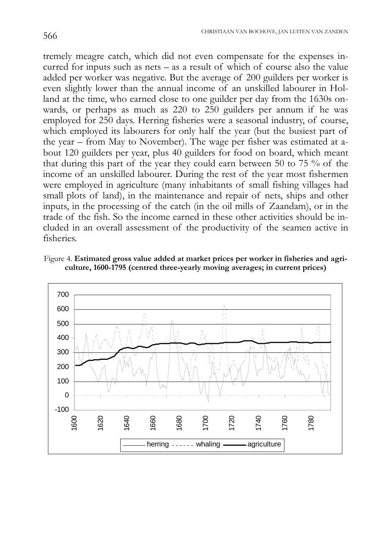tremely meagre catch, which did not even compensate for the expenses incurred for inputs such as nets – as a result of which of course also the value added per worker was negative. But the average of 200 guilders per worker is even slightly lower than the annual income of an unskilled labourer in Holland at the time, who earned close to one guilder per day from the 1630s onwards, or perhaps as much as 220 to 250 guilders per annum if he was employed for 250 days. Herring fisheries were a seasonal industry, of course, which employed its labourers for only half the year (but the busiest part of the year – from May to November). The wage per fisher was estimated at about 120 guilders per year, plus 40 guilders for food on board, which meant that during this part of the year they could earn between 50 to 75 % of the income of an unskilled labourer. During the rest of the year most fishermen were employed in agriculture (many inhabitants of small fishing villages had small plots of land), in the maintenance and repair of nets, ships and other inputs, in the processing of the catch (in the oil mills of Zaandam), or in the trade of the fish. So the income earned in these other activities should be included in an overall assessment of the productivity of the seamen active in fisheries.

Figure 4. **Estimated gross value added at market prices per worker in fisheries and agriculture, 1600-1795 (centred three-yearly moving averages; in current prices)**

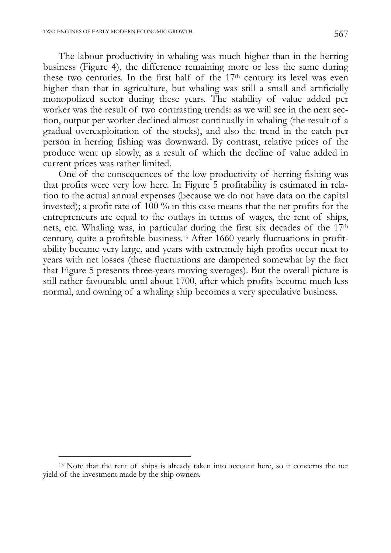The labour productivity in whaling was much higher than in the herring business (Figure 4), the difference remaining more or less the same during these two centuries. In the first half of the 17<sup>th</sup> century its level was even higher than that in agriculture, but whaling was still a small and artificially monopolized sector during these years. The stability of value added per worker was the result of two contrasting trends: as we will see in the next section, output per worker declined almost continually in whaling (the result of a gradual overexploitation of the stocks), and also the trend in the catch per person in herring fishing was downward. By contrast, relative prices of the produce went up slowly, as a result of which the decline of value added in current prices was rather limited.

One of the consequences of the low productivity of herring fishing was that profits were very low here. In Figure 5 profitability is estimated in relation to the actual annual expenses (because we do not have data on the capital invested); a profit rate of 100 % in this case means that the net profits for the entrepreneurs are equal to the outlays in terms of wages, the rent of ships, nets, etc. Whaling was, in particular during the first six decades of the 17th century, quite a profitable business.13 After 1660 yearly fluctuations in profitability became very large, and years with extremely high profits occur next to years with net losses (these fluctuations are dampened somewhat by the fact that Figure 5 presents three-years moving averages). But the overall picture is still rather favourable until about 1700, after which profits become much less normal, and owning of a whaling ship becomes a very speculative business.

<sup>&</sup>lt;sup>13</sup> Note that the rent of ships is already taken into account here, so it concerns the net yield of the investment made by the ship owners.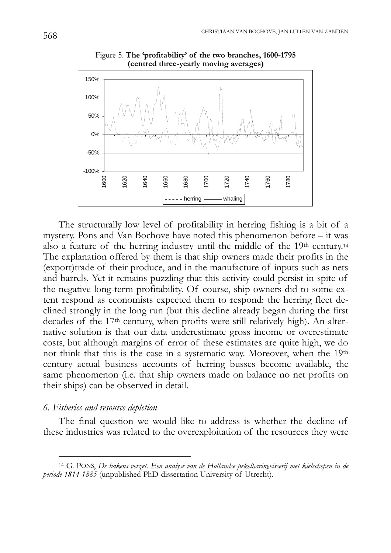

Figure 5. **The 'profitability' of the two branches, 1600-1795 (centred three-yearly moving averages)**

The structurally low level of profitability in herring fishing is a bit of a mystery. Pons and Van Bochove have noted this phenomenon before – it was also a feature of the herring industry until the middle of the 19th century.<sup>14</sup> The explanation offered by them is that ship owners made their profits in the (export)trade of their produce, and in the manufacture of inputs such as nets and barrels. Yet it remains puzzling that this activity could persist in spite of the negative long-term profitability. Of course, ship owners did to some extent respond as economists expected them to respond: the herring fleet declined strongly in the long run (but this decline already began during the first decades of the 17th century, when profits were still relatively high). An alternative solution is that our data underestimate gross income or overestimate costs, but although margins of error of these estimates are quite high, we do not think that this is the case in a systematic way. Moreover, when the 19th century actual business accounts of herring busses become available, the same phenomenon (i.e. that ship owners made on balance no net profits on their ships) can be observed in detail.

### *6. Fisheries and resource depletion*

 $\overline{a}$ 

The final question we would like to address is whether the decline of these industries was related to the overexploitation of the resources they were

<sup>14</sup> G. PONS, *De bakens verzet. Een analyse van de Hollandse pekelharingvisserij met kielschepen in de periode 1814-1885* (unpublished PhD-dissertation University of Utrecht).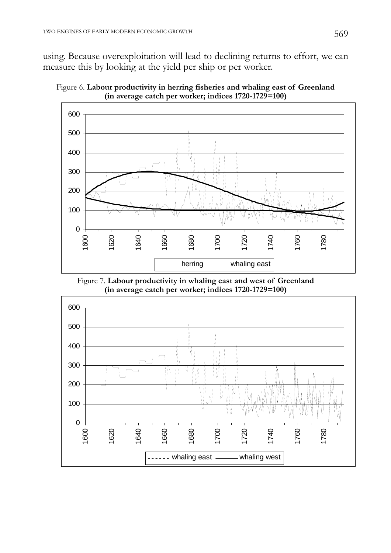using. Because overexploitation will lead to declining returns to effort, we can measure this by looking at the yield per ship or per worker.





Figure 7. **Labour productivity in whaling east and west of Greenland (in average catch per worker; indices 1720-1729=100)**

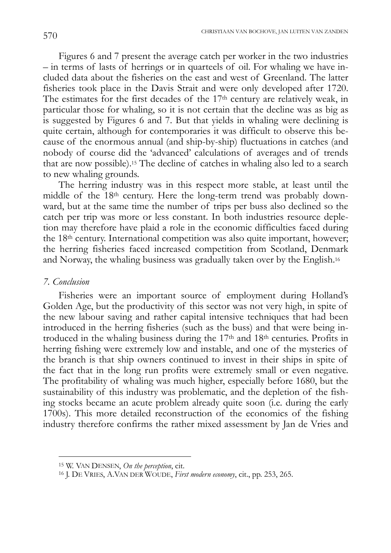Figures 6 and 7 present the average catch per worker in the two industries – in terms of lasts of herrings or in quarteels of oil. For whaling we have included data about the fisheries on the east and west of Greenland. The latter fisheries took place in the Davis Strait and were only developed after 1720. The estimates for the first decades of the 17<sup>th</sup> century are relatively weak, in particular those for whaling, so it is not certain that the decline was as big as is suggested by Figures 6 and 7. But that yields in whaling were declining is quite certain, although for contemporaries it was difficult to observe this because of the enormous annual (and ship-by-ship) fluctuations in catches (and nobody of course did the 'advanced' calculations of averages and of trends that are now possible).15 The decline of catches in whaling also led to a search to new whaling grounds.

The herring industry was in this respect more stable, at least until the middle of the 18th century. Here the long-term trend was probably downward, but at the same time the number of trips per buss also declined so the catch per trip was more or less constant. In both industries resource depletion may therefore have plaid a role in the economic difficulties faced during the 18th century. International competition was also quite important, however; the herring fisheries faced increased competition from Scotland, Denmark and Norway, the whaling business was gradually taken over by the English.16

#### *7. Conclusion*

 $\overline{a}$ 

Fisheries were an important source of employment during Holland's Golden Age, but the productivity of this sector was not very high, in spite of the new labour saving and rather capital intensive techniques that had been introduced in the herring fisheries (such as the buss) and that were being introduced in the whaling business during the 17th and 18th centuries. Profits in herring fishing were extremely low and instable, and one of the mysteries of the branch is that ship owners continued to invest in their ships in spite of the fact that in the long run profits were extremely small or even negative. The profitability of whaling was much higher, especially before 1680, but the sustainability of this industry was problematic, and the depletion of the fishing stocks became an acute problem already quite soon (i.e. during the early 1700s). This more detailed reconstruction of the economics of the fishing industry therefore confirms the rather mixed assessment by Jan de Vries and

<sup>15</sup> W. VAN DENSEN, *On the perception*, cit.

<sup>16</sup> J. DE VRIES, A.VAN DER WOUDE, *First modern economy*, cit., pp. 253, 265.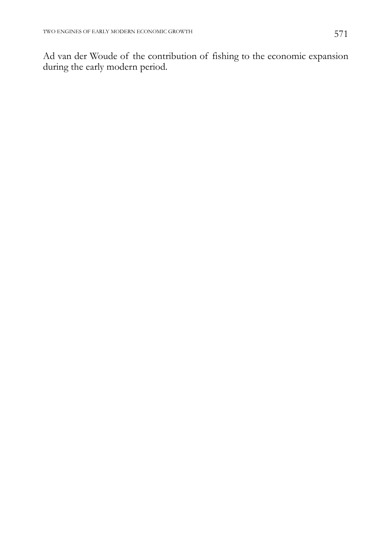Ad van der Woude of the contribution of fishing to the economic expansion during the early modern period.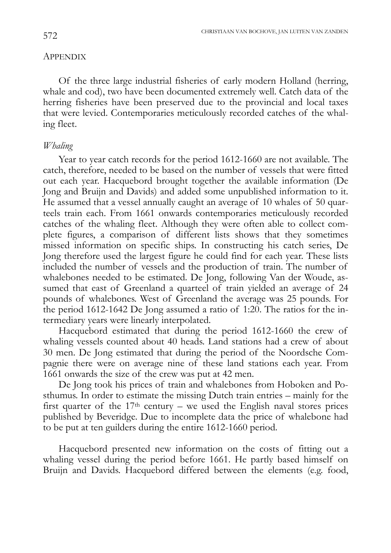# **APPENDIX**

Of the three large industrial fisheries of early modern Holland (herring, whale and cod), two have been documented extremely well. Catch data of the herring fisheries have been preserved due to the provincial and local taxes that were levied. Contemporaries meticulously recorded catches of the whaling fleet.

#### *Whaling*

Year to year catch records for the period 1612-1660 are not available. The catch, therefore, needed to be based on the number of vessels that were fitted out each year. Hacquebord brought together the available information (De Jong and Bruijn and Davids) and added some unpublished information to it. He assumed that a vessel annually caught an average of 10 whales of 50 quarteels train each. From 1661 onwards contemporaries meticulously recorded catches of the whaling fleet. Although they were often able to collect complete figures, a comparison of different lists shows that they sometimes missed information on specific ships. In constructing his catch series, De Jong therefore used the largest figure he could find for each year. These lists included the number of vessels and the production of train. The number of whalebones needed to be estimated. De Jong, following Van der Woude, assumed that east of Greenland a quarteel of train yielded an average of 24 pounds of whalebones. West of Greenland the average was 25 pounds. For the period 1612-1642 De Jong assumed a ratio of 1:20. The ratios for the intermediary years were linearly interpolated.

Hacquebord estimated that during the period 1612-1660 the crew of whaling vessels counted about 40 heads. Land stations had a crew of about 30 men. De Jong estimated that during the period of the Noordsche Compagnie there were on average nine of these land stations each year. From 1661 onwards the size of the crew was put at 42 men.

De Jong took his prices of train and whalebones from Hoboken and Posthumus. In order to estimate the missing Dutch train entries – mainly for the first quarter of the  $17<sup>th</sup>$  century – we used the English naval stores prices published by Beveridge. Due to incomplete data the price of whalebone had to be put at ten guilders during the entire 1612-1660 period.

Hacquebord presented new information on the costs of fitting out a whaling vessel during the period before 1661. He partly based himself on Bruijn and Davids. Hacquebord differed between the elements (e.g. food,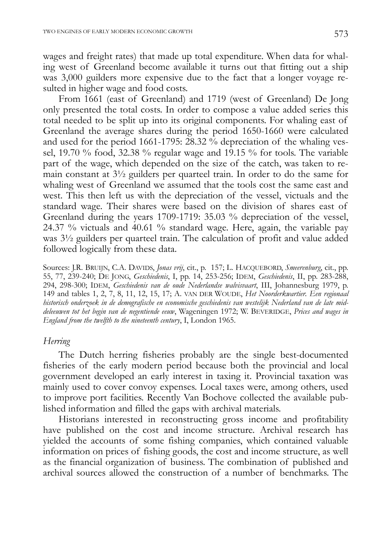wages and freight rates) that made up total expenditure. When data for whaling west of Greenland become available it turns out that fitting out a ship was 3,000 guilders more expensive due to the fact that a longer voyage resulted in higher wage and food costs.

From 1661 (east of Greenland) and 1719 (west of Greenland) De Jong only presented the total costs. In order to compose a value added series this total needed to be split up into its original components. For whaling east of Greenland the average shares during the period 1650-1660 were calculated and used for the period 1661-1795:  $28.32\%$  depreciation of the whaling vessel, 19.70 % food, 32.38 % regular wage and 19.15 % for tools. The variable part of the wage, which depended on the size of the catch, was taken to remain constant at 3½ guilders per quarteel train. In order to do the same for whaling west of Greenland we assumed that the tools cost the same east and west. This then left us with the depreciation of the vessel, victuals and the standard wage. Their shares were based on the division of shares east of Greenland during the years 1709-1719: 35.03 % depreciation of the vessel, 24.37 % victuals and 40.61 % standard wage. Here, again, the variable pay was 3½ guilders per quarteel train. The calculation of profit and value added followed logically from these data.

Sources: J.R. BRUIJN, C.A. DAVIDS, *Jonas vrij*, cit., p. 157; L. HACQUEBORD, *Smeerenburg*, cit., pp. 55, 77, 239-240; DE JONG, *Geschiedenis*, I, pp. 14, 253-256; IDEM, *Geschiedenis*, II, pp. 283-288, 294, 298-300; IDEM, *Geschiedenis van de oude Nederlandse walvisvaart*, III, Johannesburg 1979, p. 149 and tables 1, 2, 7, 8, 11, 12, 15, 17; A. VAN DER WOUDE, *Het Noorderkwartier. Een regionaal historisch onderzoek in de demografische en economische geschiedenis van westelijk Nederland van de late middeleeuwen tot het begin van de negentiende eeuw*, Wageningen 1972; W. BEVERIDGE, *Prices and wages in England from the twelfth to the nineteenth century*, I, London 1965.

# *Herring*

The Dutch herring fisheries probably are the single best-documented fisheries of the early modern period because both the provincial and local government developed an early interest in taxing it. Provincial taxation was mainly used to cover convoy expenses. Local taxes were, among others, used to improve port facilities. Recently Van Bochove collected the available published information and filled the gaps with archival materials.

Historians interested in reconstructing gross income and profitability have published on the cost and income structure. Archival research has yielded the accounts of some fishing companies, which contained valuable information on prices of fishing goods, the cost and income structure, as well as the financial organization of business. The combination of published and archival sources allowed the construction of a number of benchmarks. The